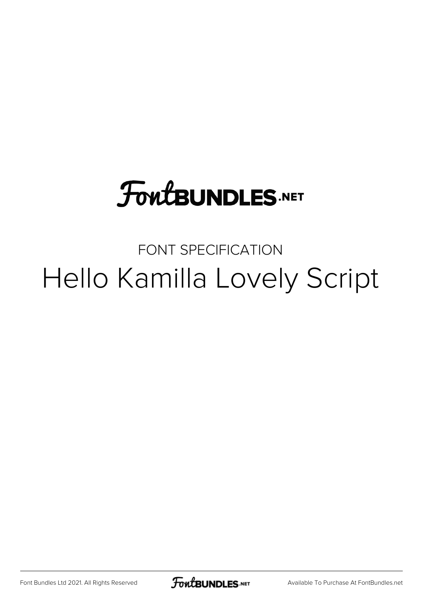## **FoutBUNDLES.NET**

## FONT SPECIFICATION Hello Kamilla Lovely Script

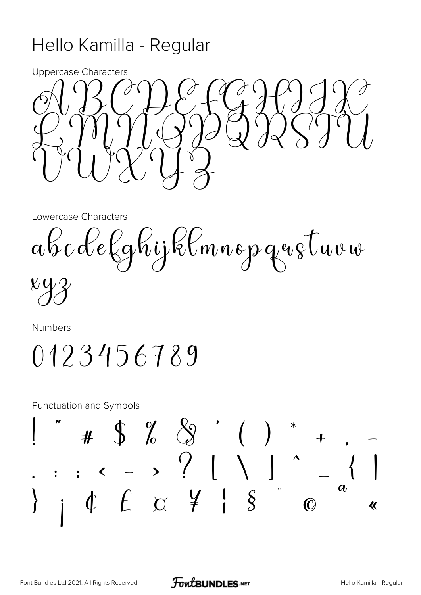## Hello Kamilla - Regular



Lowercase Characters

abcdelghijklmnopqustuvw

 $\mathcal{K} \mathbf{Q}$ 

Numbers

0123456789

**Punctuation and Symbols** 

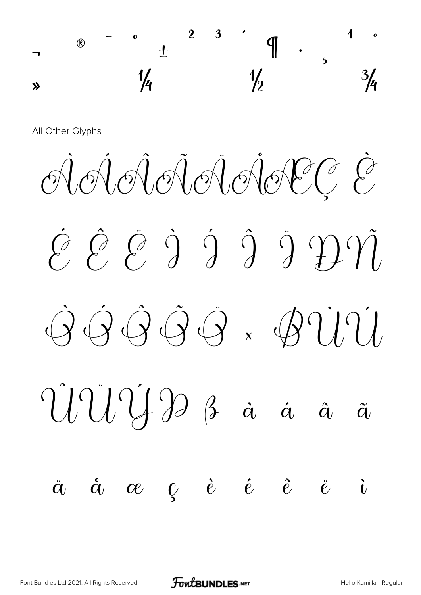

All Other Glyphs

 $\hat{\mathcal{C}}$   $\hat{\mathcal{C}}$   $\hat{\mathcal{C}}$   $\hat{\mathcal{C}}$   $\hat{\mathcal{C}}$   $\hat{\mathcal{C}}$   $\hat{\mathcal{C}}$   $\hat{\mathcal{C}}$  $\dot{Q} \dot{Q} \dot{Q} \dot{Q} \ddot{Q} \dot{X}$  $\hat{U}\hat{U}\hat{V}$   $\hat{B}$   $\hat{a}$   $\hat{a}$  $\boldsymbol{\tilde{a}}$  $\ddot{a}$   $\dot{a}$   $\alpha$   $\zeta$   $\dot{e}$   $\dot{e}$   $\hat{e}$  $\ddot{\mathbf{e}}$  $\dot{a}$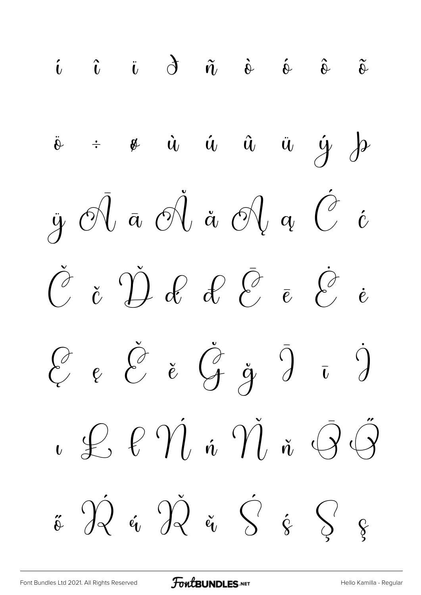$\tilde{\iota}$   $\tilde{\iota}$   $\tilde{\iota}$   $\tilde{\sigma}$   $\tilde{\alpha}$   $\tilde{\alpha}$   $\tilde{\alpha}$   $\tilde{\alpha}$   $\tilde{\alpha}$  $\dot{y} = \dot{y} - \dot{u} - \dot{u} - \ddot{u} - \ddot{y} - \frac{1}{2}\dot{y}$  $\ddot{\theta}$  $\ddot{y}$   $\partial\}$   $\ddot{a}$   $\partial\}$   $\ddot{a}$   $\partial\}$   $q$   $\ddot{C}$   $\dot{c}$  $\check{C}$  č  $\check{D}$  of  $\partial$   $\bar{\partial}$   $\bar{e}$   $\check{C}$   $\dot{e}$  $\begin{pmatrix} \frac{\partial}{\partial} & \frac{\partial}{\partial} & \frac{\partial}{\partial} & \frac{\partial}{\partial} & \frac{\partial}{\partial} & \frac{\partial}{\partial} & \frac{\partial}{\partial} & \frac{\partial}{\partial} & \frac{\partial}{\partial} & \frac{\partial}{\partial} & \frac{\partial}{\partial} & \frac{\partial}{\partial} & \frac{\partial}{\partial} & \frac{\partial}{\partial} & \frac{\partial}{\partial} & \frac{\partial}{\partial} & \frac{\partial}{\partial} & \frac{\partial}{\partial} & \frac{\partial}{\partial} & \frac{\partial}{\partial} & \frac{\partial}{\partial} & \frac{\partial}{\partial} & \frac{\partial}{\partial} & \frac{\partial}{\partial$  $\iota \mathrel{\mathscr{L}} \ell \mathrel{\hat{\eta}}$  i  $\mathrel{\hat{\eta}} \tilde{\mathfrak{n}}$  i  $\mathrel{\hat{\Theta}} \tilde{\mathrel{\hat{\Theta}}}$  $\ddot{\mathbf{v}}$   $\bigcirc \mathbf{v}$   $\mathbf{v}$   $\mathbf{v}$   $\mathbf{v}$   $\mathbf{v}$   $\mathbf{v}$   $\mathbf{v}$   $\mathbf{v}$   $\mathbf{v}$   $\mathbf{v}$   $\mathbf{v}$   $\mathbf{v}$   $\mathbf{v}$   $\mathbf{v}$   $\mathbf{v}$   $\mathbf{v}$   $\mathbf{v}$   $\mathbf{v}$   $\mathbf{v}$   $\mathbf{v}$   $\mathbf{v}$   $\mathbf{v}$   $\mathbf{v}$ 

**FOWLBUNDLES.NET**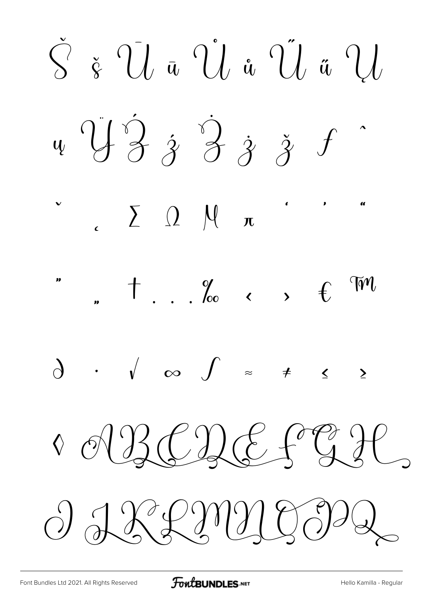$\check{S}$   $\check{g}$   $\check{U}$   $\bar{u}$   $\check{U}$   $\check{u}$   $\check{U}$   $\check{u}$   $\check{U}$  $\psi \stackrel{\gamma}{\rightarrow} \frac{\gamma}{\gamma} \stackrel{\gamma}{\rightarrow} \frac{\gamma}{\gamma} \stackrel{\gamma}{\rightarrow} \frac{\gamma}{\gamma}$  $\sum_{\alpha} \sum_{\alpha} \alpha$  $t$  . . . Yoo c ,  $t$ W  $\sum$ O RBCDE FGIC  $O$  LXLIMY CODG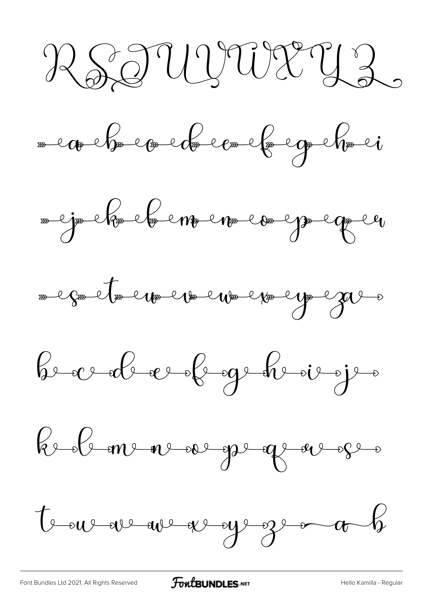RSTUITURUZ











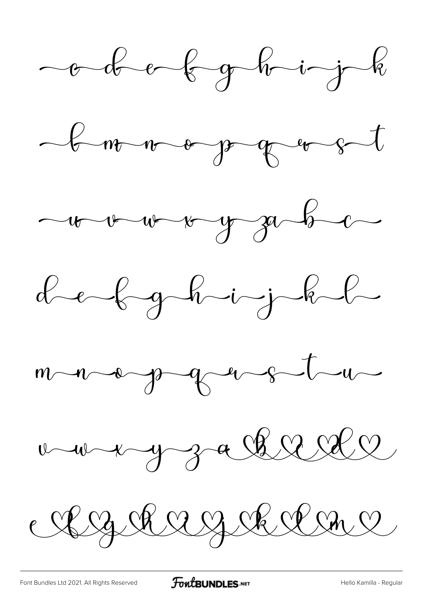











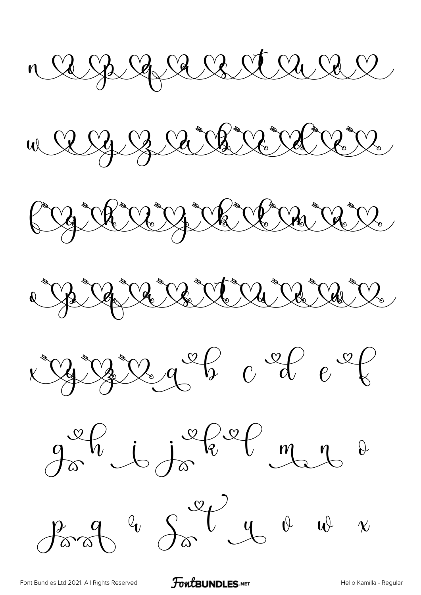n a ga ga ga ga ga ga ga g

A B a Carriga  $M_{\odot}$ 











**FoutBUNDLES.NET**